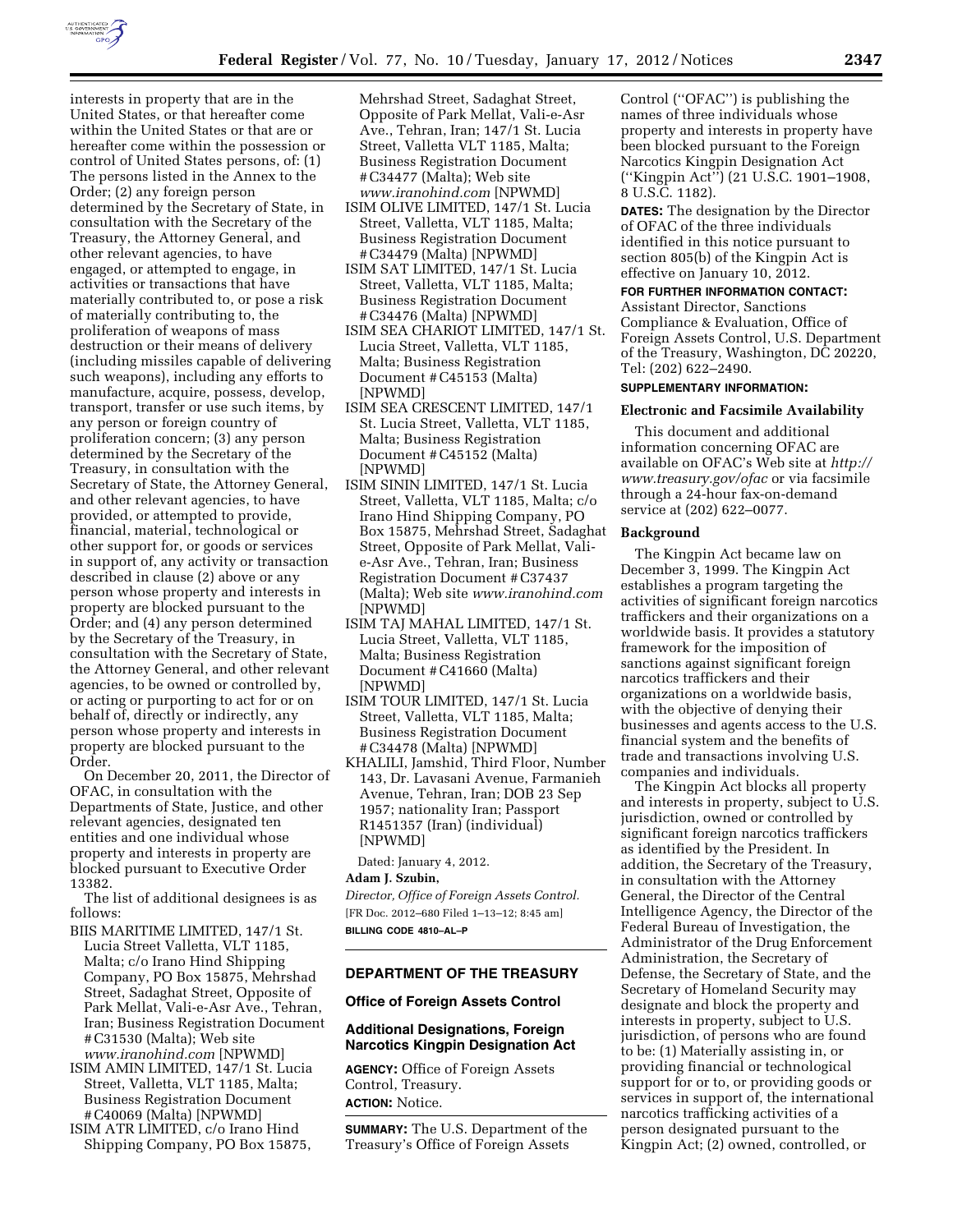

interests in property that are in the United States, or that hereafter come within the United States or that are or hereafter come within the possession or control of United States persons, of: (1) The persons listed in the Annex to the Order; (2) any foreign person determined by the Secretary of State, in consultation with the Secretary of the Treasury, the Attorney General, and other relevant agencies, to have engaged, or attempted to engage, in activities or transactions that have materially contributed to, or pose a risk of materially contributing to, the proliferation of weapons of mass destruction or their means of delivery (including missiles capable of delivering such weapons), including any efforts to manufacture, acquire, possess, develop, transport, transfer or use such items, by any person or foreign country of proliferation concern; (3) any person determined by the Secretary of the Treasury, in consultation with the Secretary of State, the Attorney General, and other relevant agencies, to have provided, or attempted to provide, financial, material, technological or other support for, or goods or services in support of, any activity or transaction described in clause (2) above or any person whose property and interests in property are blocked pursuant to the Order; and (4) any person determined by the Secretary of the Treasury, in consultation with the Secretary of State, the Attorney General, and other relevant agencies, to be owned or controlled by, or acting or purporting to act for or on behalf of, directly or indirectly, any person whose property and interests in property are blocked pursuant to the Order.

On December 20, 2011, the Director of OFAC, in consultation with the Departments of State, Justice, and other relevant agencies, designated ten entities and one individual whose property and interests in property are blocked pursuant to Executive Order 13382.

The list of additional designees is as follows:

- BIIS MARITIME LIMITED, 147/1 St. Lucia Street Valletta, VLT 1185, Malta; c/o Irano Hind Shipping Company, PO Box 15875, Mehrshad Street, Sadaghat Street, Opposite of Park Mellat, Vali-e-Asr Ave., Tehran, Iran; Business Registration Document # C31530 (Malta); Web site
- *[www.iranohind.com](http://www.iranohind.com)* [NPWMD] ISIM AMIN LIMITED, 147/1 St. Lucia Street, Valletta, VLT 1185, Malta; Business Registration Document # C40069 (Malta) [NPWMD]
- ISIM ATR LIMITED, c/o Irano Hind Shipping Company, PO Box 15875,

Mehrshad Street, Sadaghat Street, Opposite of Park Mellat, Vali-e-Asr Ave., Tehran, Iran; 147/1 St. Lucia Street, Valletta VLT 1185, Malta; Business Registration Document # C34477 (Malta); Web site *[www.iranohind.com](http://www.iranohind.com)* [NPWMD]

- ISIM OLIVE LIMITED, 147/1 St. Lucia Street, Valletta, VLT 1185, Malta; Business Registration Document # C34479 (Malta) [NPWMD]
- ISIM SAT LIMITED, 147/1 St. Lucia Street, Valletta, VLT 1185, Malta; Business Registration Document # C34476 (Malta) [NPWMD]
- ISIM SEA CHARIOT LIMITED, 147/1 St. Lucia Street, Valletta, VLT 1185, Malta; Business Registration Document # C45153 (Malta) [NPWMD]
- ISIM SEA CRESCENT LIMITED, 147/1 St. Lucia Street, Valletta, VLT 1185, Malta; Business Registration Document # C45152 (Malta) [NPWMD]
- ISIM SININ LIMITED, 147/1 St. Lucia Street, Valletta, VLT 1185, Malta; c/o Irano Hind Shipping Company, PO Box 15875, Mehrshad Street, Sadaghat Street, Opposite of Park Mellat, Valie-Asr Ave., Tehran, Iran; Business Registration Document # C37437 (Malta); Web site *[www.iranohind.com](http://www.iranohind.com)*  [NPWMD]
- ISIM TAJ MAHAL LIMITED, 147/1 St. Lucia Street, Valletta, VLT 1185, Malta; Business Registration Document # C41660 (Malta) [NPWMD]
- ISIM TOUR LIMITED, 147/1 St. Lucia Street, Valletta, VLT 1185, Malta; Business Registration Document # C34478 (Malta) [NPWMD]
- KHALILI, Jamshid, Third Floor, Number 143, Dr. Lavasani Avenue, Farmanieh Avenue, Tehran, Iran; DOB 23 Sep 1957; nationality Iran; Passport R1451357 (Iran) (individual) [NPWMD]

Dated: January 4, 2012.

#### **Adam J. Szubin,**

*Director, Office of Foreign Assets Control.*  [FR Doc. 2012–680 Filed 1–13–12; 8:45 am] **BILLING CODE 4810–AL–P** 

## **DEPARTMENT OF THE TREASURY**

#### **Office of Foreign Assets Control**

### **Additional Designations, Foreign Narcotics Kingpin Designation Act**

**AGENCY:** Office of Foreign Assets Control, Treasury. **ACTION:** Notice.

**SUMMARY:** The U.S. Department of the Treasury's Office of Foreign Assets

Control (''OFAC'') is publishing the names of three individuals whose property and interests in property have been blocked pursuant to the Foreign Narcotics Kingpin Designation Act (''Kingpin Act'') (21 U.S.C. 1901–1908, 8 U.S.C. 1182).

**DATES:** The designation by the Director of OFAC of the three individuals identified in this notice pursuant to section 805(b) of the Kingpin Act is effective on January 10, 2012.

#### **FOR FURTHER INFORMATION CONTACT:**

Assistant Director, Sanctions Compliance & Evaluation, Office of Foreign Assets Control, U.S. Department of the Treasury, Washington, DC 20220, Tel: (202) 622–2490.

### **SUPPLEMENTARY INFORMATION:**

#### **Electronic and Facsimile Availability**

This document and additional information concerning OFAC are available on OFAC's Web site at *[http://](http://www.treasury.gov/ofac) [www.treasury.gov/ofac](http://www.treasury.gov/ofac)* or via facsimile through a 24-hour fax-on-demand service at (202) 622–0077.

#### **Background**

The Kingpin Act became law on December 3, 1999. The Kingpin Act establishes a program targeting the activities of significant foreign narcotics traffickers and their organizations on a worldwide basis. It provides a statutory framework for the imposition of sanctions against significant foreign narcotics traffickers and their organizations on a worldwide basis, with the objective of denying their businesses and agents access to the U.S. financial system and the benefits of trade and transactions involving U.S. companies and individuals.

The Kingpin Act blocks all property and interests in property, subject to U.S. jurisdiction, owned or controlled by significant foreign narcotics traffickers as identified by the President. In addition, the Secretary of the Treasury, in consultation with the Attorney General, the Director of the Central Intelligence Agency, the Director of the Federal Bureau of Investigation, the Administrator of the Drug Enforcement Administration, the Secretary of Defense, the Secretary of State, and the Secretary of Homeland Security may designate and block the property and interests in property, subject to U.S. jurisdiction, of persons who are found to be: (1) Materially assisting in, or providing financial or technological support for or to, or providing goods or services in support of, the international narcotics trafficking activities of a person designated pursuant to the Kingpin Act; (2) owned, controlled, or